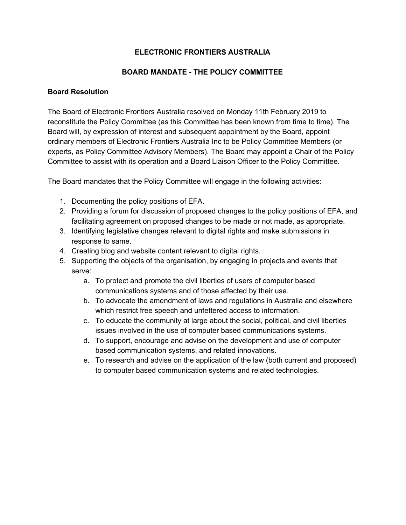# **ELECTRONIC FRONTIERS AUSTRALIA**

# **BOARD MANDATE - THE POLICY COMMITTEE**

## **Board Resolution**

The Board of Electronic Frontiers Australia resolved on Monday 11th February 2019 to reconstitute the Policy Committee (as this Committee has been known from time to time). The Board will, by expression of interest and subsequent appointment by the Board, appoint ordinary members of Electronic Frontiers Australia Inc to be Policy Committee Members (or experts, as Policy Committee Advisory Members). The Board may appoint a Chair of the Policy Committee to assist with its operation and a Board Liaison Officer to the Policy Committee.

The Board mandates that the Policy Committee will engage in the following activities:

- 1. Documenting the policy positions of EFA.
- 2. Providing a forum for discussion of proposed changes to the policy positions of EFA, and facilitating agreement on proposed changes to be made or not made, as appropriate.
- 3. Identifying legislative changes relevant to digital rights and make submissions in response to same.
- 4. Creating blog and website content relevant to digital rights.
- 5. Supporting the objects of the organisation, by engaging in projects and events that serve:
	- a. To protect and promote the civil liberties of users of computer based communications systems and of those affected by their use.
	- b. To advocate the amendment of laws and regulations in Australia and elsewhere which restrict free speech and unfettered access to information.
	- c. To educate the community at large about the social, political, and civil liberties issues involved in the use of computer based communications systems.
	- d. To support, encourage and advise on the development and use of computer based communication systems, and related innovations.
	- e. To research and advise on the application of the law (both current and proposed) to computer based communication systems and related technologies.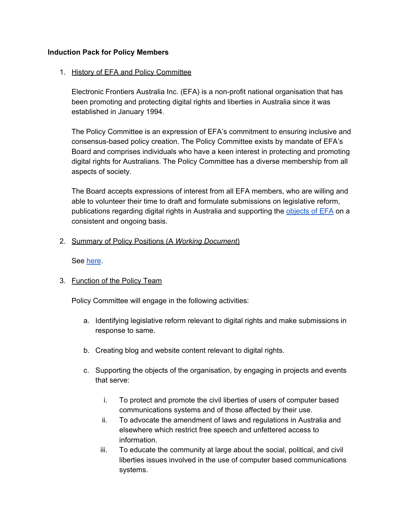## **Induction Pack for Policy Members**

#### 1. History of EFA and Policy Committee

Electronic Frontiers Australia Inc. (EFA) is a non-profit national organisation that has been promoting and protecting digital rights and liberties in Australia since it was established in January 1994.

The Policy Committee is an expression of EFA's commitment to ensuring inclusive and consensus-based policy creation. The Policy Committee exists by mandate of EFA's Board and comprises individuals who have a keen interest in protecting and promoting digital rights for Australians. The Policy Committee has a diverse membership from all aspects of society.

The Board accepts expressions of interest from all EFA members, who are willing and able to volunteer their time to draft and formulate submissions on legislative reform, publications regarding digital rights in Australia and supporting the [objects](https://www.efa.org.au/about/rules-of-incorporation/) of EFA on a consistent and ongoing basis.

## 2. Summary of Policy Positions (A *Working Document*)

See [here](https://docs.google.com/document/d/1053TWRL45WJwhg9VqCZ7UBnIzohrfJTwCp5U_rA1HqU/edit).

3. Function of the Policy Team

Policy Committee will engage in the following activities:

- a. Identifying legislative reform relevant to digital rights and make submissions in response to same.
- b. Creating blog and website content relevant to digital rights.
- c. Supporting the objects of the organisation, by engaging in projects and events that serve:
	- i. To protect and promote the civil liberties of users of computer based communications systems and of those affected by their use.
	- ii. To advocate the amendment of laws and regulations in Australia and elsewhere which restrict free speech and unfettered access to information.
	- iii. To educate the community at large about the social, political, and civil liberties issues involved in the use of computer based communications systems.